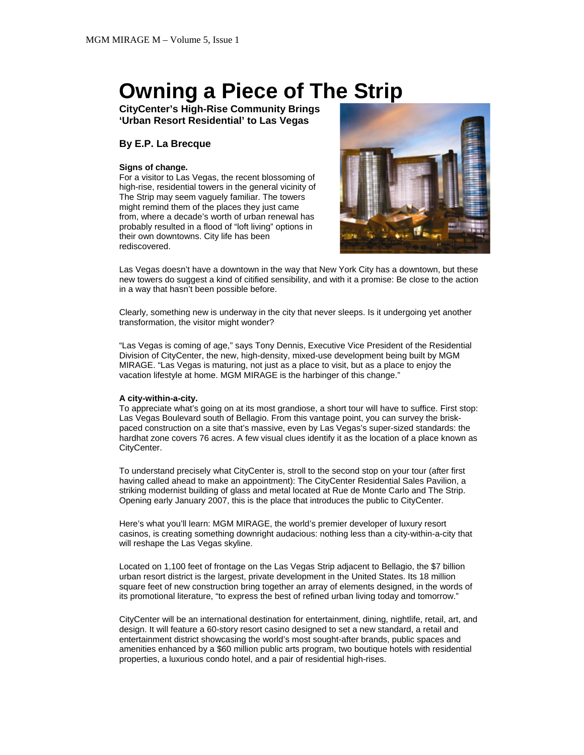# **Owning a Piece of The Strip**

**CityCenter's High-Rise Community Brings 'Urban Resort Residential' to Las Vegas** 

# **By E.P. La Brecque**

## **Signs of change.**

For a visitor to Las Vegas, the recent blossoming of high-rise, residential towers in the general vicinity of The Strip may seem vaguely familiar. The towers might remind them of the places they just came from, where a decade's worth of urban renewal has probably resulted in a flood of "loft living" options in their own downtowns. City life has been rediscovered.



Las Vegas doesn't have a downtown in the way that New York City has a downtown, but these new towers do suggest a kind of citified sensibility, and with it a promise: Be close to the action in a way that hasn't been possible before.

Clearly, something new is underway in the city that never sleeps. Is it undergoing yet another transformation, the visitor might wonder?

"Las Vegas is coming of age," says Tony Dennis, Executive Vice President of the Residential Division of CityCenter, the new, high-density, mixed-use development being built by MGM MIRAGE. "Las Vegas is maturing, not just as a place to visit, but as a place to enjoy the vacation lifestyle at home. MGM MIRAGE is the harbinger of this change."

#### **A city-within-a-city.**

To appreciate what's going on at its most grandiose, a short tour will have to suffice. First stop: Las Vegas Boulevard south of Bellagio. From this vantage point, you can survey the briskpaced construction on a site that's massive, even by Las Vegas's super-sized standards: the hardhat zone covers 76 acres. A few visual clues identify it as the location of a place known as CityCenter.

To understand precisely what CityCenter is, stroll to the second stop on your tour (after first having called ahead to make an appointment): The CityCenter Residential Sales Pavilion, a striking modernist building of glass and metal located at Rue de Monte Carlo and The Strip. Opening early January 2007, this is the place that introduces the public to CityCenter.

Here's what you'll learn: MGM MIRAGE, the world's premier developer of luxury resort casinos, is creating something downright audacious: nothing less than a city-within-a-city that will reshape the Las Vegas skyline.

Located on 1,100 feet of frontage on the Las Vegas Strip adjacent to Bellagio, the \$7 billion urban resort district is the largest, private development in the United States. Its 18 million square feet of new construction bring together an array of elements designed, in the words of its promotional literature, "to express the best of refined urban living today and tomorrow."

CityCenter will be an international destination for entertainment, dining, nightlife, retail, art, and design. It will feature a 60-story resort casino designed to set a new standard, a retail and entertainment district showcasing the world's most sought-after brands, public spaces and amenities enhanced by a \$60 million public arts program, two boutique hotels with residential properties, a luxurious condo hotel, and a pair of residential high-rises.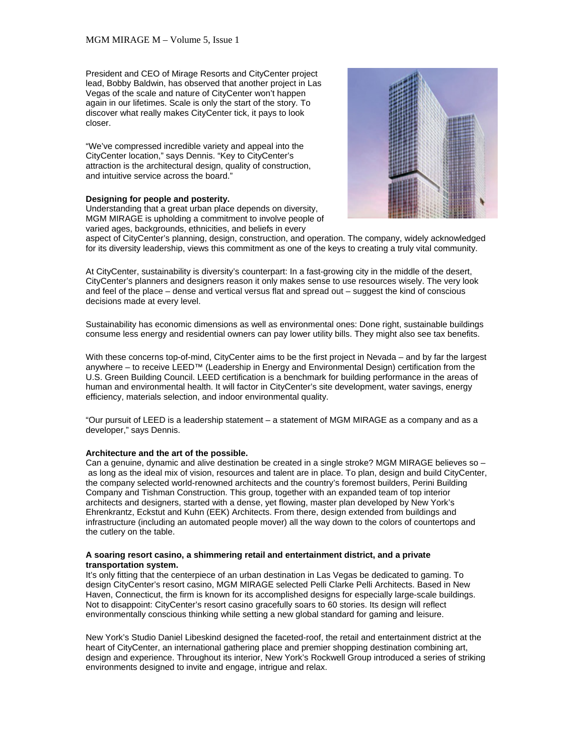President and CEO of Mirage Resorts and CityCenter project lead, Bobby Baldwin, has observed that another project in Las Vegas of the scale and nature of CityCenter won't happen again in our lifetimes. Scale is only the start of the story. To discover what really makes CityCenter tick, it pays to look closer.

"We've compressed incredible variety and appeal into the CityCenter location," says Dennis. "Key to CityCenter's attraction is the architectural design, quality of construction, and intuitive service across the board."

#### **Designing for people and posterity.**

Understanding that a great urban place depends on diversity, MGM MIRAGE is upholding a commitment to involve people of varied ages, backgrounds, ethnicities, and beliefs in every



aspect of CityCenter's planning, design, construction, and operation. The company, widely acknowledged for its diversity leadership, views this commitment as one of the keys to creating a truly vital community.

At CityCenter, sustainability is diversity's counterpart: In a fast-growing city in the middle of the desert, CityCenter's planners and designers reason it only makes sense to use resources wisely. The very look and feel of the place – dense and vertical versus flat and spread out – suggest the kind of conscious decisions made at every level.

Sustainability has economic dimensions as well as environmental ones: Done right, sustainable buildings consume less energy and residential owners can pay lower utility bills. They might also see tax benefits.

With these concerns top-of-mind, CityCenter aims to be the first project in Nevada – and by far the largest anywhere – to receive LEED™ (Leadership in Energy and Environmental Design) certification from the U.S. Green Building Council. LEED certification is a benchmark for building performance in the areas of human and environmental health. It will factor in CityCenter's site development, water savings, energy efficiency, materials selection, and indoor environmental quality.

"Our pursuit of LEED is a leadership statement – a statement of MGM MIRAGE as a company and as a developer," says Dennis.

#### **Architecture and the art of the possible.**

Can a genuine, dynamic and alive destination be created in a single stroke? MGM MIRAGE believes so – as long as the ideal mix of vision, resources and talent are in place. To plan, design and build CityCenter, the company selected world-renowned architects and the country's foremost builders, Perini Building Company and Tishman Construction. This group, together with an expanded team of top interior architects and designers, started with a dense, yet flowing, master plan developed by New York's Ehrenkrantz, Eckstut and Kuhn (EEK) Architects. From there, design extended from buildings and infrastructure (including an automated people mover) all the way down to the colors of countertops and the cutlery on the table.

#### **A soaring resort casino, a shimmering retail and entertainment district, and a private transportation system.**

It's only fitting that the centerpiece of an urban destination in Las Vegas be dedicated to gaming. To design CityCenter's resort casino, MGM MIRAGE selected Pelli Clarke Pelli Architects. Based in New Haven, Connecticut, the firm is known for its accomplished designs for especially large-scale buildings. Not to disappoint: CityCenter's resort casino gracefully soars to 60 stories. Its design will reflect environmentally conscious thinking while setting a new global standard for gaming and leisure.

New York's Studio Daniel Libeskind designed the faceted-roof, the retail and entertainment district at the heart of CityCenter, an international gathering place and premier shopping destination combining art, design and experience. Throughout its interior, New York's Rockwell Group introduced a series of striking environments designed to invite and engage, intrigue and relax.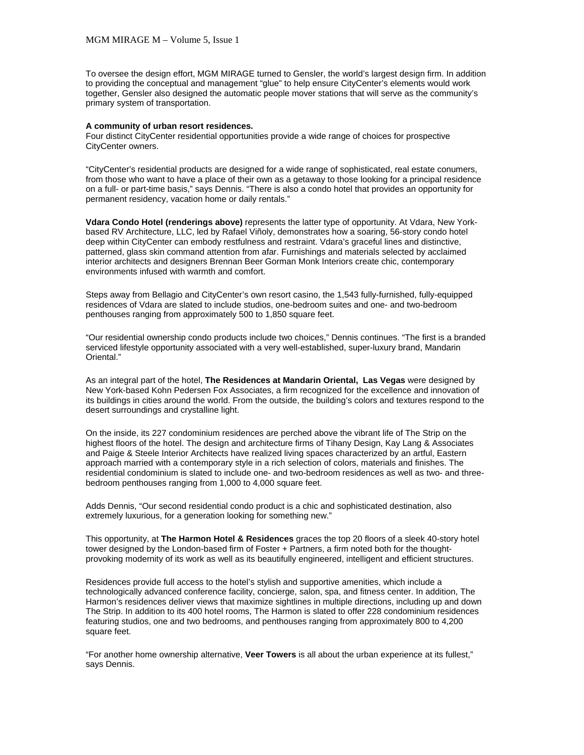To oversee the design effort, MGM MIRAGE turned to Gensler, the world's largest design firm. In addition to providing the conceptual and management "glue" to help ensure CityCenter's elements would work together, Gensler also designed the automatic people mover stations that will serve as the community's primary system of transportation.

## **A community of urban resort residences.**

Four distinct CityCenter residential opportunities provide a wide range of choices for prospective CityCenter owners.

"CityCenter's residential products are designed for a wide range of sophisticated, real estate conumers, from those who want to have a place of their own as a getaway to those looking for a principal residence on a full- or part-time basis," says Dennis. "There is also a condo hotel that provides an opportunity for permanent residency, vacation home or daily rentals."

**Vdara Condo Hotel (renderings above)** represents the latter type of opportunity. At Vdara, New Yorkbased RV Architecture, LLC, led by Rafael Viñoly, demonstrates how a soaring, 56-story condo hotel deep within CityCenter can embody restfulness and restraint. Vdara's graceful lines and distinctive, patterned, glass skin command attention from afar. Furnishings and materials selected by acclaimed interior architects and designers Brennan Beer Gorman Monk Interiors create chic, contemporary environments infused with warmth and comfort.

Steps away from Bellagio and CityCenter's own resort casino, the 1,543 fully-furnished, fully-equipped residences of Vdara are slated to include studios, one-bedroom suites and one- and two-bedroom penthouses ranging from approximately 500 to 1,850 square feet.

"Our residential ownership condo products include two choices," Dennis continues. "The first is a branded serviced lifestyle opportunity associated with a very well-established, super-luxury brand, Mandarin Oriental."

As an integral part of the hotel, **The Residences at Mandarin Oriental, Las Vegas** were designed by New York-based Kohn Pedersen Fox Associates, a firm recognized for the excellence and innovation of its buildings in cities around the world. From the outside, the building's colors and textures respond to the desert surroundings and crystalline light.

On the inside, its 227 condominium residences are perched above the vibrant life of The Strip on the highest floors of the hotel. The design and architecture firms of Tihany Design, Kay Lang & Associates and Paige & Steele Interior Architects have realized living spaces characterized by an artful, Eastern approach married with a contemporary style in a rich selection of colors, materials and finishes. The residential condominium is slated to include one- and two-bedroom residences as well as two- and threebedroom penthouses ranging from 1,000 to 4,000 square feet.

Adds Dennis, "Our second residential condo product is a chic and sophisticated destination, also extremely luxurious, for a generation looking for something new."

This opportunity, at **The Harmon Hotel & Residences** graces the top 20 floors of a sleek 40-story hotel tower designed by the London-based firm of Foster + Partners, a firm noted both for the thoughtprovoking modernity of its work as well as its beautifully engineered, intelligent and efficient structures.

Residences provide full access to the hotel's stylish and supportive amenities, which include a technologically advanced conference facility, concierge, salon, spa, and fitness center. In addition, The Harmon's residences deliver views that maximize sightlines in multiple directions, including up and down The Strip. In addition to its 400 hotel rooms, The Harmon is slated to offer 228 condominium residences featuring studios, one and two bedrooms, and penthouses ranging from approximately 800 to 4,200 square feet.

"For another home ownership alternative, **Veer Towers** is all about the urban experience at its fullest," says Dennis.